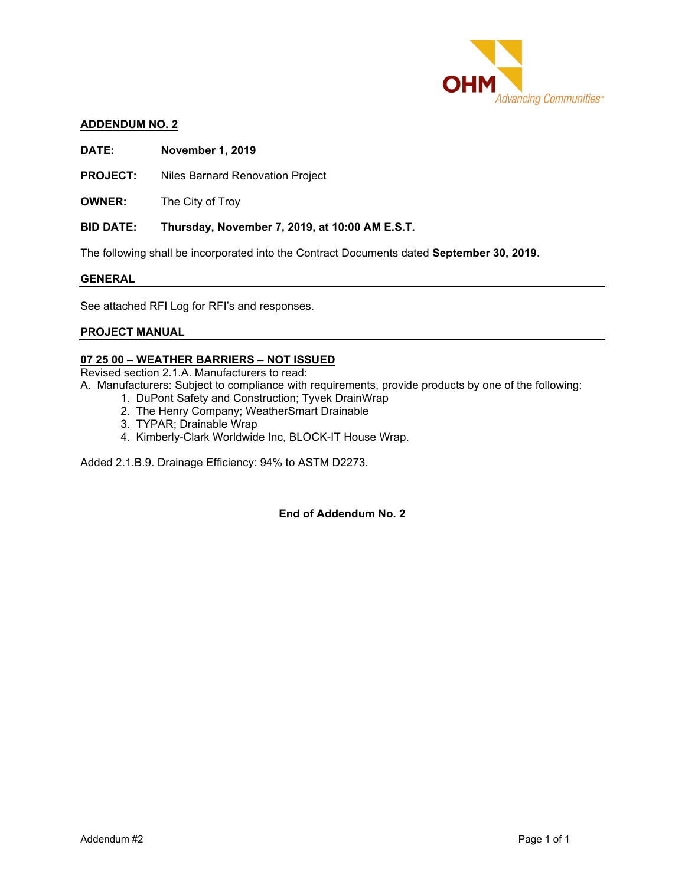

#### **ADDENDUM NO. 2**

**DATE: November 1, 2019** 

**PROJECT:** Niles Barnard Renovation Project

**OWNER:** The City of Troy

#### **BID DATE: Thursday, November 7, 2019, at 10:00 AM E.S.T.**

The following shall be incorporated into the Contract Documents dated **September 30, 2019**.

#### **GENERAL**

See attached RFI Log for RFI's and responses.

### **PROJECT MANUAL**

### **07 25 00 – WEATHER BARRIERS – NOT ISSUED**

Revised section 2.1.A. Manufacturers to read:

- A. Manufacturers: Subject to compliance with requirements, provide products by one of the following:
	- 1. DuPont Safety and Construction; Tyvek DrainWrap
	- 2. The Henry Company; WeatherSmart Drainable
	- 3. TYPAR; Drainable Wrap
	- 4. Kimberly-Clark Worldwide Inc, BLOCK-IT House Wrap.

Added 2.1.B.9. Drainage Efficiency: 94% to ASTM D2273.

#### **End of Addendum No. 2**